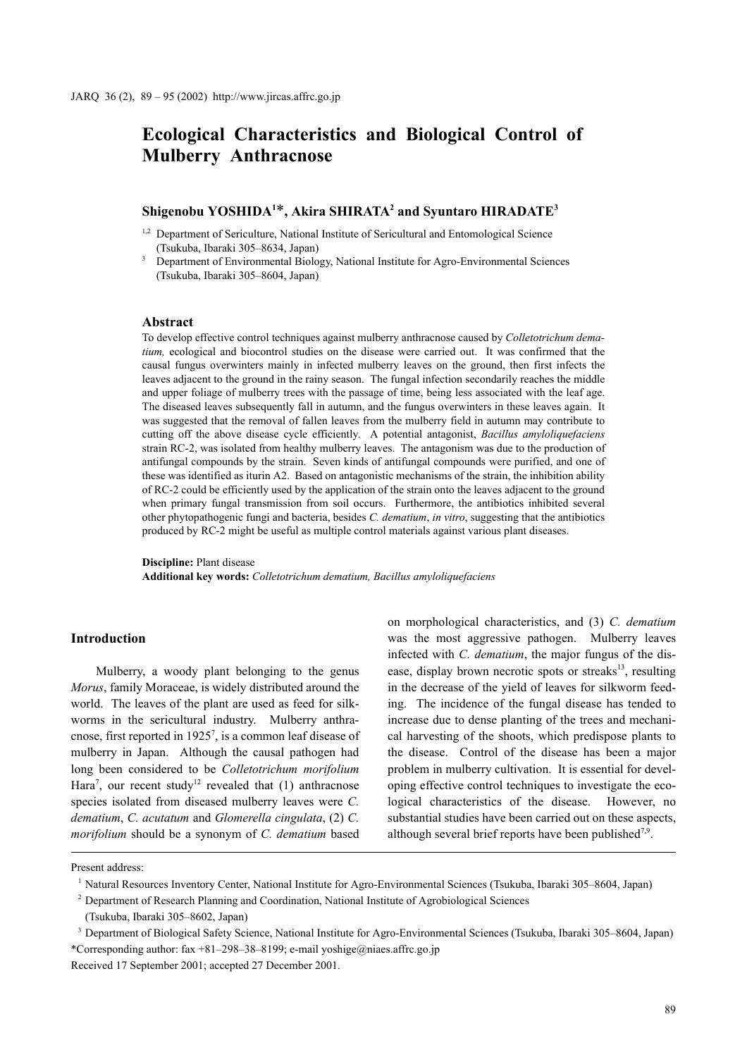# **Ecological Characteristics and Biological Control of Mulberry Anthracnose**

## **Shigenobu YOSHIDA1** \***, Akira SHIRATA2 and Syuntaro HIRADATE3**

- <sup>1,2</sup> Department of Sericulture, National Institute of Sericultural and Entomological Science (Tsukuba, Ibaraki 305–8634, Japan)
- <sup>3</sup> Department of Environmental Biology, National Institute for Agro-Environmental Sciences (Tsukuba, Ibaraki 305–8604, Japan)

#### **Abstract**

To develop effective control techniques against mulberry anthracnose caused by *Colletotrichum dematium,* ecological and biocontrol studies on the disease were carried out. It was confirmed that the causal fungus overwinters mainly in infected mulberry leaves on the ground, then first infects the leaves adjacent to the ground in the rainy season. The fungal infection secondarily reaches the middle and upper foliage of mulberry trees with the passage of time, being less associated with the leaf age. The diseased leaves subsequently fall in autumn, and the fungus overwinters in these leaves again. It was suggested that the removal of fallen leaves from the mulberry field in autumn may contribute to cutting off the above disease cycle efficiently. A potential antagonist, *Bacillus amyloliquefaciens* strain RC-2, was isolated from healthy mulberry leaves. The antagonism was due to the production of antifungal compounds by the strain. Seven kinds of antifungal compounds were purified, and one of these was identified as iturin A2. Based on antagonistic mechanisms of the strain, the inhibition ability of RC-2 could be efficiently used by the application of the strain onto the leaves adjacent to the ground when primary fungal transmission from soil occurs. Furthermore, the antibiotics inhibited several other phytopathogenic fungi and bacteria, besides *C. dematium*, *in vitro*, suggesting that the antibiotics produced by RC-2 might be useful as multiple control materials against various plant diseases.

**Discipline:** Plant disease **Additional key words:** *Colletotrichum dematium, Bacillus amyloliquefaciens*

#### **Introduction**

Mulberry, a woody plant belonging to the genus *Morus*, family Moraceae, is widely distributed around the world. The leaves of the plant are used as feed for silkworms in the sericultural industry. Mulberry anthracnose, first reported in  $1925^7$ , is a common leaf disease of mulberry in Japan. Although the causal pathogen had long been considered to be *Colletotrichum morifolium* Hara<sup>7</sup>, our recent study<sup>12</sup> revealed that (1) anthracnose species isolated from diseased mulberry leaves were *C. dematium*, *C. acutatum* and *Glomerella cingulata*, (2) *C. morifolium* should be a synonym of *C. dematium* based on morphological characteristics, and (3) *C. dematium* was the most aggressive pathogen. Mulberry leaves infected with *C. dematium*, the major fungus of the disease, display brown necrotic spots or streaks $^{13}$ , resulting in the decrease of the yield of leaves for silkworm feeding. The incidence of the fungal disease has tended to increase due to dense planting of the trees and mechanical harvesting of the shoots, which predispose plants to the disease. Control of the disease has been a major problem in mulberry cultivation. It is essential for developing effective control techniques to investigate the ecological characteristics of the disease. However, no substantial studies have been carried out on these aspects, although several brief reports have been published<sup>7,9</sup>.

Present address:

<sup>1</sup> Natural Resources Inventory Center, National Institute for Agro-Environmental Sciences (Tsukuba, Ibaraki 305–8604, Japan)

<sup>&</sup>lt;sup>2</sup> Department of Research Planning and Coordination, National Institute of Agrobiological Sciences

<sup>(</sup>Tsukuba, Ibaraki 305–8602, Japan)

<sup>3</sup> Department of Biological Safety Science, National Institute for Agro-Environmental Sciences (Tsukuba, Ibaraki 305–8604, Japan) \*Corresponding author: fax +81–298–38–8199; e-mail yoshige@niaes.affrc.go.jp

Received 17 September 2001; accepted 27 December 2001.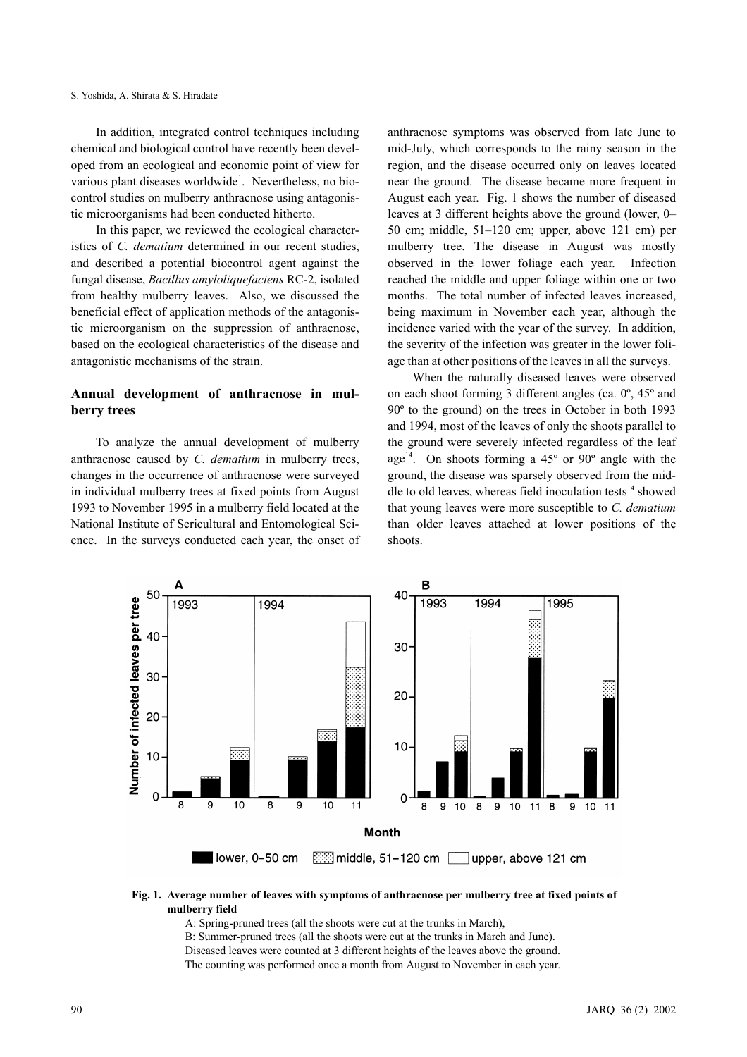In addition, integrated control techniques including chemical and biological control have recently been developed from an ecological and economic point of view for various plant diseases worldwide<sup>1</sup>. Nevertheless, no biocontrol studies on mulberry anthracnose using antagonistic microorganisms had been conducted hitherto.

In this paper, we reviewed the ecological characteristics of *C. dematium* determined in our recent studies, and described a potential biocontrol agent against the fungal disease, *Bacillus amyloliquefaciens* RC-2, isolated from healthy mulberry leaves. Also, we discussed the beneficial effect of application methods of the antagonistic microorganism on the suppression of anthracnose, based on the ecological characteristics of the disease and antagonistic mechanisms of the strain.

## **Annual development of anthracnose in mulberry trees**

To analyze the annual development of mulberry anthracnose caused by *C. dematium* in mulberry trees, changes in the occurrence of anthracnose were surveyed in individual mulberry trees at fixed points from August 1993 to November 1995 in a mulberry field located at the National Institute of Sericultural and Entomological Science. In the surveys conducted each year, the onset of anthracnose symptoms was observed from late June to mid-July, which corresponds to the rainy season in the region, and the disease occurred only on leaves located near the ground. The disease became more frequent in August each year. Fig. 1 shows the number of diseased leaves at 3 different heights above the ground (lower, 0– 50 cm; middle, 51–120 cm; upper, above 121 cm) per mulberry tree. The disease in August was mostly observed in the lower foliage each year. Infection reached the middle and upper foliage within one or two months. The total number of infected leaves increased, being maximum in November each year, although the incidence varied with the year of the survey. In addition, the severity of the infection was greater in the lower foliage than at other positions of the leaves in all the surveys.

When the naturally diseased leaves were observed on each shoot forming 3 different angles (ca. 0º, 45º and 90º to the ground) on the trees in October in both 1993 and 1994, most of the leaves of only the shoots parallel to the ground were severely infected regardless of the leaf age<sup>14</sup>. On shoots forming a  $45^{\circ}$  or  $90^{\circ}$  angle with the ground, the disease was sparsely observed from the middle to old leaves, whereas field inoculation tests $14$  showed that young leaves were more susceptible to *C. dematium* than older leaves attached at lower positions of the shoots.



#### **Fig. 1. Average number of leaves with symptoms of anthracnose per mulberry tree at fixed points of mulberry field**

A: Spring-pruned trees (all the shoots were cut at the trunks in March),

B: Summer-pruned trees (all the shoots were cut at the trunks in March and June).

Diseased leaves were counted at 3 different heights of the leaves above the ground. The counting was performed once a month from August to November in each year.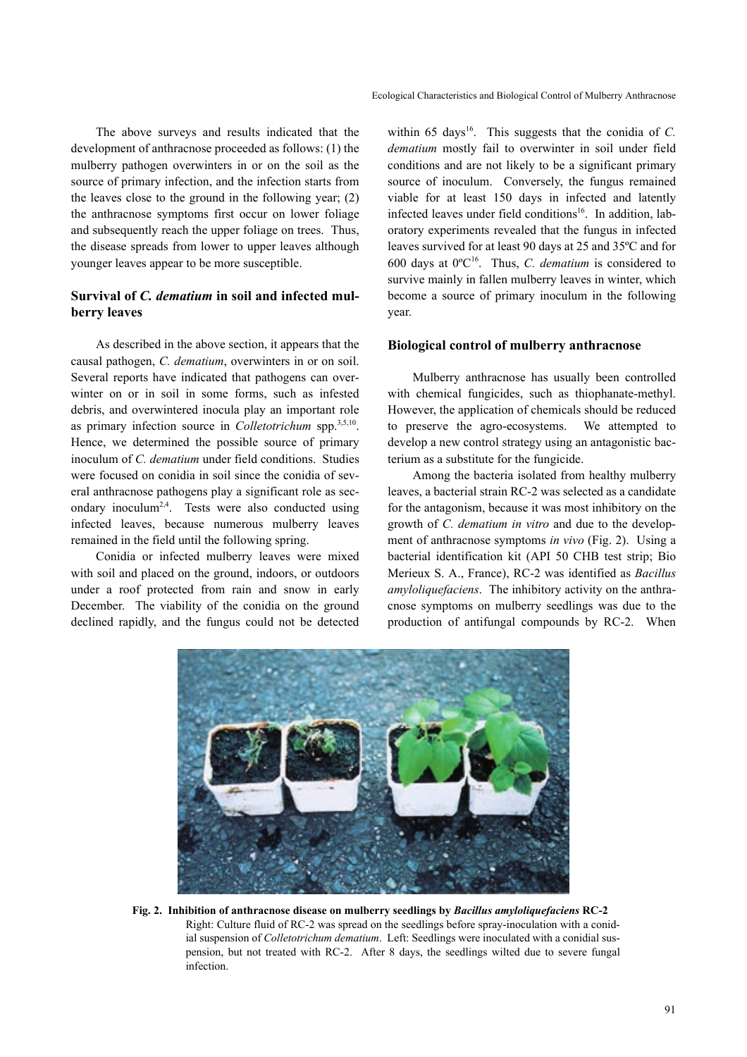The above surveys and results indicated that the development of anthracnose proceeded as follows: (1) the mulberry pathogen overwinters in or on the soil as the source of primary infection, and the infection starts from the leaves close to the ground in the following year; (2) the anthracnose symptoms first occur on lower foliage and subsequently reach the upper foliage on trees. Thus, the disease spreads from lower to upper leaves although younger leaves appear to be more susceptible.

## **Survival of** *C. dematium* **in soil and infected mulberry leaves**

As described in the above section, it appears that the causal pathogen, *C. dematium*, overwinters in or on soil. Several reports have indicated that pathogens can overwinter on or in soil in some forms, such as infested debris, and overwintered inocula play an important role as primary infection source in *Colletotrichum* spp.3,5,10. Hence, we determined the possible source of primary inoculum of *C. dematium* under field conditions. Studies were focused on conidia in soil since the conidia of several anthracnose pathogens play a significant role as secondary inoculum<sup>2,4</sup>. Tests were also conducted using infected leaves, because numerous mulberry leaves remained in the field until the following spring.

Conidia or infected mulberry leaves were mixed with soil and placed on the ground, indoors, or outdoors under a roof protected from rain and snow in early December. The viability of the conidia on the ground declined rapidly, and the fungus could not be detected within 65 days<sup>16</sup>. This suggests that the conidia of *C*. *dematium* mostly fail to overwinter in soil under field conditions and are not likely to be a significant primary source of inoculum. Conversely, the fungus remained viable for at least 150 days in infected and latently infected leaves under field conditions<sup>16</sup>. In addition, laboratory experiments revealed that the fungus in infected leaves survived for at least 90 days at 25 and 35ºC and for 600 days at 0ºC16. Thus, *C. dematium* is considered to survive mainly in fallen mulberry leaves in winter, which become a source of primary inoculum in the following year.

#### **Biological control of mulberry anthracnose**

Mulberry anthracnose has usually been controlled with chemical fungicides, such as thiophanate-methyl. However, the application of chemicals should be reduced to preserve the agro-ecosystems. We attempted to develop a new control strategy using an antagonistic bacterium as a substitute for the fungicide.

Among the bacteria isolated from healthy mulberry leaves, a bacterial strain RC-2 was selected as a candidate for the antagonism, because it was most inhibitory on the growth of *C. dematium in vitro* and due to the development of anthracnose symptoms *in vivo* (Fig. 2). Using a bacterial identification kit (API 50 CHB test strip; Bio Merieux S. A., France), RC-2 was identified as *Bacillus amyloliquefaciens*. The inhibitory activity on the anthracnose symptoms on mulberry seedlings was due to the production of antifungal compounds by RC-2. When



**Fig. 2. Inhibition of anthracnose disease on mulberry seedlings by** *Bacillus amyloliquefaciens* **RC-2**  Right: Culture fluid of RC-2 was spread on the seedlings before spray-inoculation with a conidial suspension of *Colletotrichum dematium*. Left: Seedlings were inoculated with a conidial suspension, but not treated with RC-2. After 8 days, the seedlings wilted due to severe fungal infection.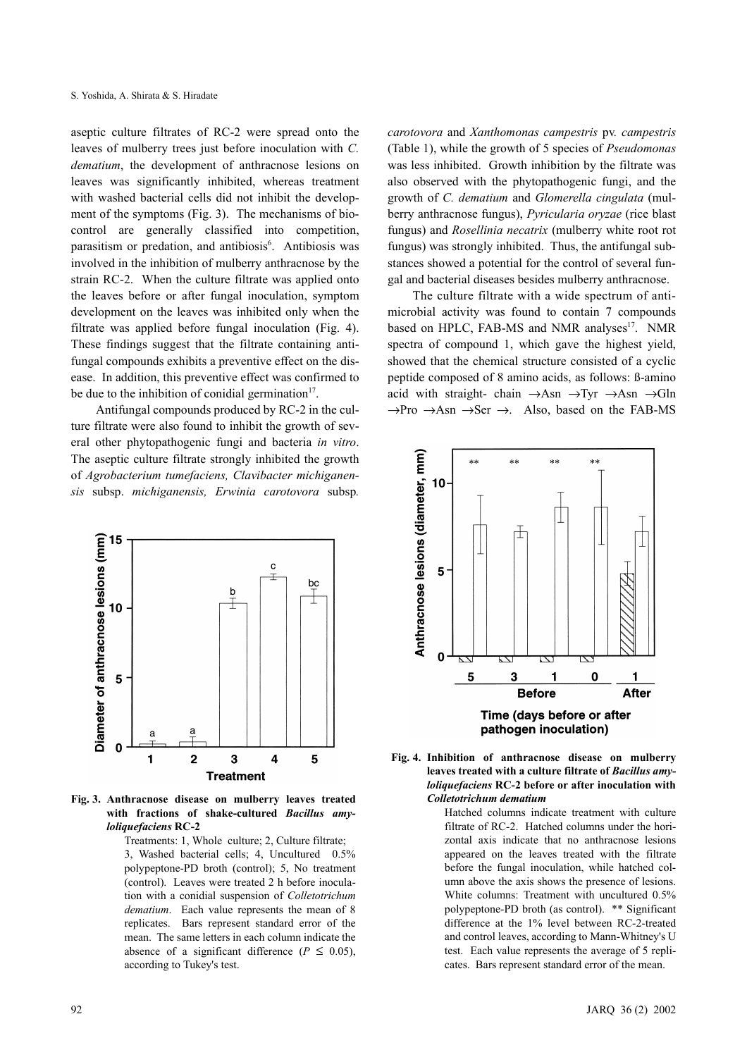aseptic culture filtrates of RC-2 were spread onto the leaves of mulberry trees just before inoculation with *C. dematium*, the development of anthracnose lesions on leaves was significantly inhibited, whereas treatment with washed bacterial cells did not inhibit the development of the symptoms (Fig. 3). The mechanisms of biocontrol are generally classified into competition, parasitism or predation, and antibiosis<sup>6</sup>. Antibiosis was involved in the inhibition of mulberry anthracnose by the strain RC-2. When the culture filtrate was applied onto the leaves before or after fungal inoculation, symptom development on the leaves was inhibited only when the filtrate was applied before fungal inoculation (Fig. 4). These findings suggest that the filtrate containing antifungal compounds exhibits a preventive effect on the disease. In addition, this preventive effect was confirmed to be due to the inhibition of conidial germination<sup>17</sup>.

Antifungal compounds produced by RC-2 in the culture filtrate were also found to inhibit the growth of several other phytopathogenic fungi and bacteria *in vitro*. The aseptic culture filtrate strongly inhibited the growth of *Agrobacterium tumefaciens, Clavibacter michiganensis* subsp. *michiganensis, Erwinia carotovora* subsp*.*



**Fig. 3. Anthracnose disease on mulberry leaves treated with fractions of shake-cultured** *Bacillus amyloliquefaciens* **RC-2**

> Treatments: 1, Whole culture; 2, Culture filtrate; 3, Washed bacterial cells; 4, Uncultured 0.5% polypeptone-PD broth (control); 5, No treatment (control). Leaves were treated 2 h before inoculation with a conidial suspension of *Colletotrichum dematium*. Each value represents the mean of 8 replicates. Bars represent standard error of the mean. The same letters in each column indicate the absence of a significant difference ( $P \leq 0.05$ ), according to Tukey's test.

*carotovora* and *Xanthomonas campestris* pv*. campestris* (Table 1), while the growth of 5 species of *Pseudomonas* was less inhibited. Growth inhibition by the filtrate was also observed with the phytopathogenic fungi, and the growth of *C. dematium* and *Glomerella cingulata* (mulberry anthracnose fungus), *Pyricularia oryzae* (rice blast fungus) and *Rosellinia necatrix* (mulberry white root rot fungus) was strongly inhibited. Thus, the antifungal substances showed a potential for the control of several fungal and bacterial diseases besides mulberry anthracnose.

The culture filtrate with a wide spectrum of antimicrobial activity was found to contain 7 compounds based on HPLC, FAB-MS and NMR analyses<sup>17</sup>. NMR spectra of compound 1, which gave the highest yield, showed that the chemical structure consisted of a cyclic peptide composed of 8 amino acids, as follows: ß-amino acid with straight- chain  $\rightarrow$ Asn  $\rightarrow$ Tyr  $\rightarrow$ Asn  $\rightarrow$ Gln  $\rightarrow$ Pro  $\rightarrow$ Asn  $\rightarrow$ Ser  $\rightarrow$ . Also, based on the FAB-MS



**Fig. 4. Inhibition of anthracnose disease on mulberry leaves treated with a culture filtrate of** *Bacillus amyloliquefaciens* **RC-2 before or after inoculation with** *Colletotrichum dematium*

> Hatched columns indicate treatment with culture filtrate of RC-2. Hatched columns under the horizontal axis indicate that no anthracnose lesions appeared on the leaves treated with the filtrate before the fungal inoculation, while hatched column above the axis shows the presence of lesions. White columns: Treatment with uncultured 0.5% polypeptone-PD broth (as control). \*\* Significant difference at the 1% level between RC-2-treated and control leaves, according to Mann-Whitney's U test. Each value represents the average of 5 replicates. Bars represent standard error of the mean.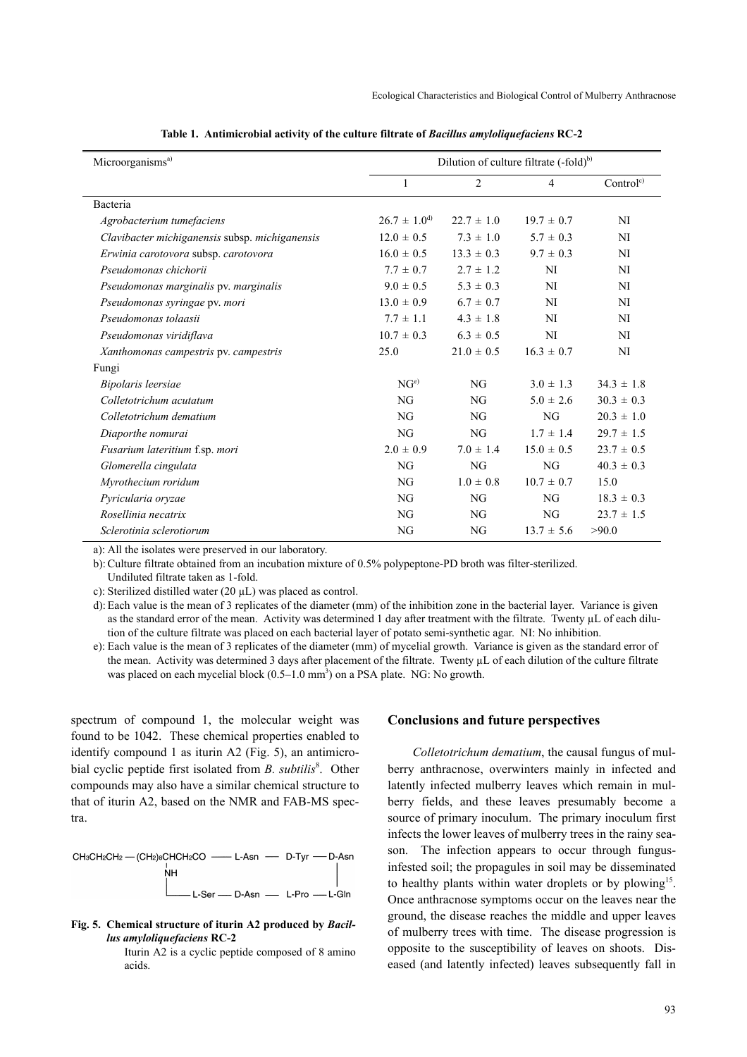| Microorganisms <sup>a)</sup>                   | Dilution of culture filtrate (-fold) <sup>b)</sup> |                |                |                      |
|------------------------------------------------|----------------------------------------------------|----------------|----------------|----------------------|
|                                                | $\mathbf{1}$                                       | $\overline{c}$ | $\overline{4}$ | Control <sup>c</sup> |
| Bacteria                                       |                                                    |                |                |                      |
| Agrobacterium tumefaciens                      | $26.7 \pm 1.0^{d}$                                 | $22.7 \pm 1.0$ | $19.7 \pm 0.7$ | <b>NI</b>            |
| Clavibacter michiganensis subsp. michiganensis | $12.0 \pm 0.5$                                     | $7.3 \pm 1.0$  | $5.7 \pm 0.3$  | NI                   |
| Erwinia carotovora subsp. carotovora           | $16.0 \pm 0.5$                                     | $13.3 \pm 0.3$ | $9.7 \pm 0.3$  | NI                   |
| Pseudomonas chichorii                          | $7.7 \pm 0.7$                                      | $2.7 \pm 1.2$  | NI             | NI                   |
| Pseudomonas marginalis pv. marginalis          | $9.0 \pm 0.5$                                      | $5.3 \pm 0.3$  | NI             | NI                   |
| Pseudomonas syringae pv. mori                  | $13.0 \pm 0.9$                                     | $6.7 \pm 0.7$  | NI             | NI                   |
| Pseudomonas tolaasii                           | $7.7 \pm 1.1$                                      | $4.3 \pm 1.8$  | NI             | <b>NI</b>            |
| Pseudomonas viridiflava                        | $10.7 \pm 0.3$                                     | $6.3 \pm 0.5$  | <b>NI</b>      | NI                   |
| Xanthomonas campestris pv. campestris          | 25.0                                               | $21.0 \pm 0.5$ | $16.3 \pm 0.7$ | NI                   |
| Fungi                                          |                                                    |                |                |                      |
| Bipolaris leersiae                             | NG <sup>e</sup>                                    | NG             | $3.0 \pm 1.3$  | $34.3 \pm 1.8$       |
| Colletotrichum acutatum                        | NG                                                 | NG             | $5.0 \pm 2.6$  | $30.3 \pm 0.3$       |
| Colletotrichum dematium                        | NG                                                 | NG             | NG             | $20.3 \pm 1.0$       |
| Diaporthe nomurai                              | NG                                                 | NG             | $1.7 \pm 1.4$  | $29.7 \pm 1.5$       |
| Fusarium lateritium f.sp. mori                 | $2.0 \pm 0.9$                                      | $7.0 \pm 1.4$  | $15.0 \pm 0.5$ | $23.7 \pm 0.5$       |
| Glomerella cingulata                           | NG                                                 | NG             | NG             | $40.3 \pm 0.3$       |
| Myrothecium roridum                            | NG                                                 | $1.0 \pm 0.8$  | $10.7 \pm 0.7$ | 15.0                 |
| Pyricularia oryzae                             | NG                                                 | NG             | NG             | $18.3 \pm 0.3$       |
| Rosellinia necatrix                            | NG                                                 | NG             | NG             | $23.7 \pm 1.5$       |
| Sclerotinia sclerotiorum                       | NG                                                 | NG             | $13.7 \pm 5.6$ | >90.0                |

**Table 1. Antimicrobial activity of the culture filtrate of** *Bacillus amyloliquefaciens* **RC-2**

a): All the isolates were preserved in our laboratory.

b): Culture filtrate obtained from an incubation mixture of 0.5% polypeptone-PD broth was filter-sterilized.

Undiluted filtrate taken as 1-fold.

c): Sterilized distilled water (20 µL) was placed as control.

d): Each value is the mean of 3 replicates of the diameter (mm) of the inhibition zone in the bacterial layer. Variance is given as the standard error of the mean. Activity was determined 1 day after treatment with the filtrate. Twenty  $\mu$ L of each dilution of the culture filtrate was placed on each bacterial layer of potato semi-synthetic agar. NI: No inhibition.

e): Each value is the mean of 3 replicates of the diameter (mm) of mycelial growth. Variance is given as the standard error of the mean. Activity was determined 3 days after placement of the filtrate. Twenty µL of each dilution of the culture filtrate was placed on each mycelial block  $(0.5-1.0 \text{ mm}^3)$  on a PSA plate. NG: No growth.

spectrum of compound 1, the molecular weight was found to be 1042. These chemical properties enabled to identify compound 1 as iturin A2 (Fig. 5), an antimicrobial cyclic peptide first isolated from *B. subtilis*<sup>8</sup>. Other compounds may also have a similar chemical structure to that of iturin A2, based on the NMR and FAB-MS spectra.



**Fig. 5. Chemical structure of iturin A2 produced by** *Bacillus amyloliquefaciens* **RC-2**

Iturin A2 is a cyclic peptide composed of 8 amino acids.

#### **Conclusions and future perspectives**

*Colletotrichum dematium*, the causal fungus of mulberry anthracnose, overwinters mainly in infected and latently infected mulberry leaves which remain in mulberry fields, and these leaves presumably become a source of primary inoculum. The primary inoculum first infects the lower leaves of mulberry trees in the rainy season. The infection appears to occur through fungusinfested soil; the propagules in soil may be disseminated to healthy plants within water droplets or by plowing<sup>15</sup>. Once anthracnose symptoms occur on the leaves near the ground, the disease reaches the middle and upper leaves of mulberry trees with time. The disease progression is opposite to the susceptibility of leaves on shoots. Diseased (and latently infected) leaves subsequently fall in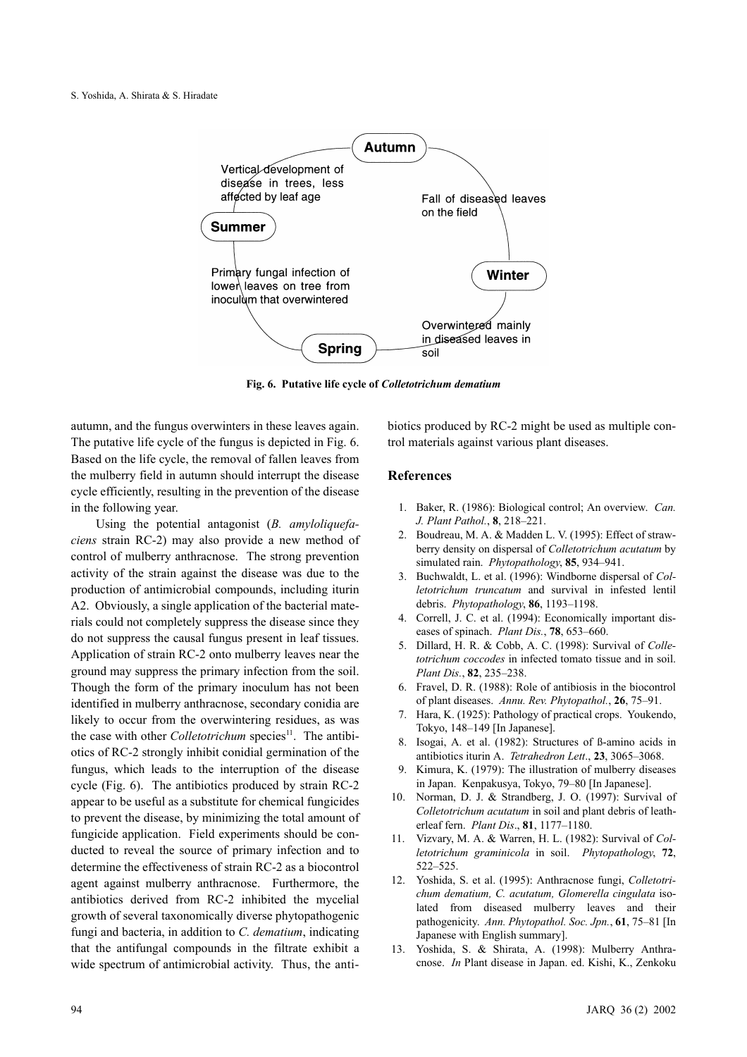

**Fig. 6. Putative life cycle of** *Colletotrichum dematium*

autumn, and the fungus overwinters in these leaves again. The putative life cycle of the fungus is depicted in Fig. 6. Based on the life cycle, the removal of fallen leaves from the mulberry field in autumn should interrupt the disease cycle efficiently, resulting in the prevention of the disease in the following year.

Using the potential antagonist (*B. amyloliquefaciens* strain RC-2) may also provide a new method of control of mulberry anthracnose. The strong prevention activity of the strain against the disease was due to the production of antimicrobial compounds, including iturin A2. Obviously, a single application of the bacterial materials could not completely suppress the disease since they do not suppress the causal fungus present in leaf tissues. Application of strain RC-2 onto mulberry leaves near the ground may suppress the primary infection from the soil. Though the form of the primary inoculum has not been identified in mulberry anthracnose, secondary conidia are likely to occur from the overwintering residues, as was the case with other *Colletotrichum* species<sup>11</sup>. The antibiotics of RC-2 strongly inhibit conidial germination of the fungus, which leads to the interruption of the disease cycle (Fig. 6). The antibiotics produced by strain RC-2 appear to be useful as a substitute for chemical fungicides to prevent the disease, by minimizing the total amount of fungicide application. Field experiments should be conducted to reveal the source of primary infection and to determine the effectiveness of strain RC-2 as a biocontrol agent against mulberry anthracnose. Furthermore, the antibiotics derived from RC-2 inhibited the mycelial growth of several taxonomically diverse phytopathogenic fungi and bacteria, in addition to *C. dematium*, indicating that the antifungal compounds in the filtrate exhibit a wide spectrum of antimicrobial activity. Thus, the antibiotics produced by RC-2 might be used as multiple control materials against various plant diseases.

### **References**

- 1. Baker, R. (1986): Biological control; An overview. *Can. J. Plant Pathol.*, **8**, 218–221.
- 2. Boudreau, M. A. & Madden L. V. (1995): Effect of strawberry density on dispersal of *Colletotrichum acutatum* by simulated rain. *Phytopathology*, **85**, 934–941.
- 3. Buchwaldt, L. et al. (1996): Windborne dispersal of *Colletotrichum truncatum* and survival in infested lentil debris. *Phytopathology*, **86**, 1193–1198.
- 4. Correll, J. C. et al. (1994): Economically important diseases of spinach. *Plant Dis.*, **78**, 653–660.
- 5. Dillard, H. R. & Cobb, A. C. (1998): Survival of *Colletotrichum coccodes* in infected tomato tissue and in soil. *Plant Dis.*, **82**, 235–238.
- 6. Fravel, D. R. (1988): Role of antibiosis in the biocontrol of plant diseases. *Annu. Rev. Phytopathol.*, **26**, 75–91.
- 7. Hara, K. (1925): Pathology of practical crops. Youkendo, Tokyo, 148–149 [In Japanese].
- 8. Isogai, A. et al. (1982): Structures of ß-amino acids in antibiotics iturin A. *Tetrahedron Lett*., **23**, 3065–3068.
- 9. Kimura, K. (1979): The illustration of mulberry diseases in Japan. Kenpakusya, Tokyo, 79–80 [In Japanese].
- 10. Norman, D. J. & Strandberg, J. O. (1997): Survival of *Colletotrichum acutatum* in soil and plant debris of leatherleaf fern. *Plant Dis*., **81**, 1177–1180.
- 11. Vizvary, M. A. & Warren, H. L. (1982): Survival of *Colletotrichum graminicola* in soil. *Phytopathology*, **72**, 522–525.
- 12. Yoshida, S. et al. (1995): Anthracnose fungi, *Colletotrichum dematium, C. acutatum, Glomerella cingulata* isolated from diseased mulberry leaves and their pathogenicity. *Ann. Phytopathol. Soc. Jpn.*, **61**, 75–81 [In Japanese with English summary].
- 13. Yoshida, S. & Shirata, A. (1998): Mulberry Anthracnose. *In* Plant disease in Japan. ed. Kishi, K., Zenkoku